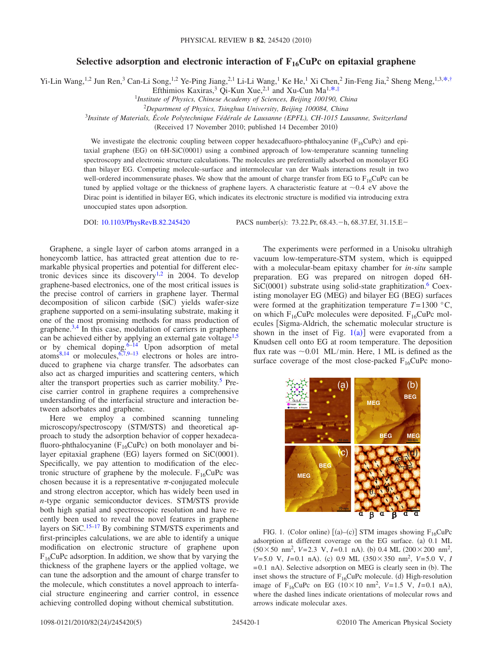## Selective adsorption and electronic interaction of F<sub>16</sub>CuPc on epitaxial graphene

Yi-Lin Wang,<sup>1,2</sup> Jun Ren,<sup>3</sup> Can-Li Song,<sup>1,2</sup> Ye-Ping Jiang,<sup>2,1</sup> Li-Li Wang,<sup>1</sup> Ke He,<sup>1</sup> Xi Chen,<sup>2</sup> Jin-Feng Jia,<sup>2</sup> Sheng Meng,<sup>1,3[,\\*](#page-4-0)[,†](#page-4-1)</sup>

Efthimios Kaxiras,<sup>3</sup> Qi-Kun Xue,<sup>2,1</sup> and Xu-Cun Ma<sup>1[,\\*](#page-4-0)[,‡](#page-4-2)</sup>

1 *Institute of Physics, Chinese Academy of Sciences, Beijing 100190, China*

<sup>2</sup>*Department of Physics, Tsinghua University, Beijing 100084, China*

<sup>3</sup>*Insitute of Materials, École Polytechnique Fédérale de Lausanne (EPFL), CH-1015 Lausanne, Switzerland*

(Received 17 November 2010; published 14 December 2010)

We investigate the electronic coupling between copper hexadecafluoro-phthalocyanine ( $F_{16}CuPc$ ) and epitaxial graphene (EG) on 6H-SiC(0001) using a combined approach of low-temperature scanning tunneling spectroscopy and electronic structure calculations. The molecules are preferentially adsorbed on monolayer EG than bilayer EG. Competing molecule-surface and intermolecular van der Waals interactions result in two well-ordered incommensurate phases. We show that the amount of charge transfer from EG to  $F_{16}$ CuPc can be tuned by applied voltage or the thickness of graphene layers. A characteristic feature at  $\sim$ 0.4 eV above the Dirac point is identified in bilayer EG, which indicates its electronic structure is modified via introducing extra unoccupied states upon adsorption.

DOI: [10.1103/PhysRevB.82.245420](http://dx.doi.org/10.1103/PhysRevB.82.245420)

PACS number(s): 73.22.Pr, 68.43. - h, 68.37.Ef, 31.15.E -

Graphene, a single layer of carbon atoms arranged in a honeycomb lattice, has attracted great attention due to remarkable physical properties and potential for different elec-tronic devices since its discovery<sup>1[,2](#page-4-4)</sup> in 2004. To develop graphene-based electronics, one of the most critical issues is the precise control of carriers in graphene layer. Thermal decomposition of silicon carbide (SiC) yields wafer-size graphene supported on a semi-insulating substrate, making it one of the most promising methods for mass production of graphene. $3,4$  $3,4$  In this case, modulation of carriers in graphene can be achieved either by applying an external gate voltage<sup>1[,5](#page-4-7)</sup> or by chemical doping. $6-14$  $6-14$  Upon adsorption of metal atoms<sup>8,[14](#page-4-9)</sup> or molecules,  $6,7,9-13$  $6,7,9-13$  $6,7,9-13$  $6,7,9-13$  electrons or holes are introduced to graphene via charge transfer. The adsorbates can also act as charged impurities and scattering centers, which alter the transport properties such as carrier mobility.<sup>5</sup> Precise carrier control in graphene requires a comprehensive understanding of the interfacial structure and interaction between adsorbates and graphene.

Here we employ a combined scanning tunneling microscopy/spectroscopy (STM/STS) and theoretical approach to study the adsorption behavior of copper hexadecafluoro-phthalocyanine ( $F_{16}CuPc$ ) on both monolayer and bilayer epitaxial graphene (EG) layers formed on SiC(0001). Specifically, we pay attention to modification of the electronic structure of graphene by the molecule.  $F_{16}CuPc$  was chosen because it is a representative  $\pi$ -conjugated molecule and strong electron acceptor, which has widely been used in *n*-type organic semiconductor devices. STM/STS provide both high spatial and spectroscopic resolution and have recently been used to reveal the novel features in graphene layers on  $SiC$ <sup>15–[17](#page-4-15)</sup> By combining STM/STS experiments and first-principles calculations, we are able to identify a unique modification on electronic structure of graphene upon  $F_{16}$ CuPc adsorption. In addition, we show that by varying the thickness of the graphene layers or the applied voltage, we can tune the adsorption and the amount of charge transfer to the molecule, which constitutes a novel approach to interfacial structure engineering and carrier control, in essence achieving controlled doping without chemical substitution.

The experiments were performed in a Unisoku ultrahigh vacuum low-temperature-STM system, which is equipped with a molecular-beam epitaxy chamber for *in-situ* sample preparation. EG was prepared on nitrogen doped 6H- $SiC(0001)$  substrate using solid-state graphitization.<sup>6</sup> Coexisting monolayer EG (MEG) and bilayer EG (BEG) surfaces were formed at the graphitization temperature  $T=1300$  °C, on which  $F_{16}CuPe$  molecules were deposited.  $F_{16}CuPe$  molecules [Sigma-Aldrich, the schematic molecular structure is shown in the inset of Fig.  $1(a)$  $1(a)$ ] were evaporated from a Knudsen cell onto EG at room temperature. The deposition flux rate was  $\sim 0.01$  ML/min. Here, 1 ML is defined as the surface coverage of the most close-packed  $F_{16}CuPc$  mono-

<span id="page-0-0"></span>

FIG. 1. (Color online)  $[(a)-(c)]$  STM images showing  $F_{16}CuPc$ adsorption at different coverage on the EG surface. (a) 0.1 ML  $(50 \times 50 \text{ nm}^2, V=2.3 \text{ V}, I=0.1 \text{ nA})$ . (b) 0.4 ML  $(200 \times 200 \text{ nm}^2,$  $V=5.0$  V,  $I=0.1$  nA). (c) 0.9 ML  $(350\times350 \text{ nm}^2, V=5.0 \text{ V}, I$  $= 0.1$  nA). Selective adsorption on MEG is clearly seen in (b). The inset shows the structure of  $F_{16}CuPc$  molecule. (d) High-resolution image of  $F_{16}CuPc$  on EG ( $10\times10$  nm<sup>2</sup>,  $V=1.5$  V,  $I=0.1$  nA), where the dashed lines indicate orientations of molecular rows and arrows indicate molecular axes.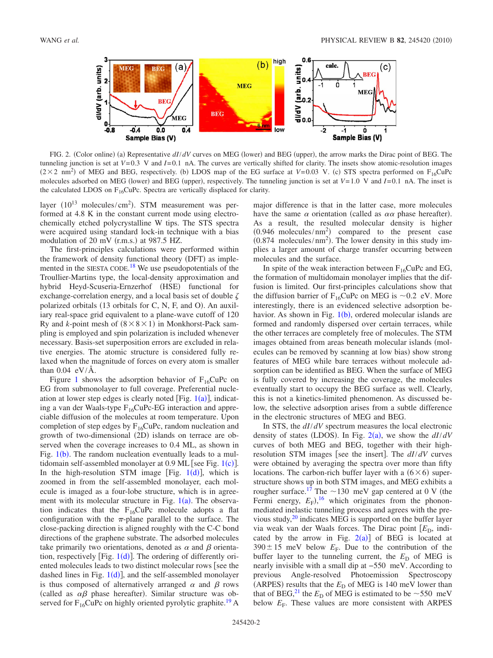<span id="page-1-0"></span>

FIG. 2. (Color online) (a) Representative  $dI/dV$  curves on MEG (lower) and BEG (upper), the arrow marks the Dirac point of BEG. The tunneling junction is set at  $V=0.3$  V and  $I=0.1$  nA. The curves are vertically shifted for clarity. The insets show atomic-resolution images  $(2 \times 2 \text{ nm}^2)$  of MEG and BEG, respectively. (b) LDOS map of the EG surface at *V*=0.03 V. (c) STS spectra performed on F<sub>16</sub>CuPc molecules adsorbed on MEG (lower) and BEG (upper), respectively. The tunneling junction is set at  $V=1.0$  V and  $I=0.1$  nA. The inset is the calculated LDOS on  $F_{16}$ CuPc. Spectra are vertically displaced for clarity.

layer  $(10^{13} \text{ molecules/cm}^2)$ . STM measurement was performed at 4.8 K in the constant current mode using electrochemically etched polycrystalline W tips. The STS spectra were acquired using standard lock-in technique with a bias modulation of  $20 \text{ mV (r.m.s.)}$  at  $987.5 \text{ HZ.}$ 

The first-principles calculations were performed within the framework of density functional theory (DFT) as imple-mented in the SIESTA CODE.<sup>[18](#page-4-16)</sup> We use pseudopotentials of the Troullier-Martins type, the local-density approximation and hybrid Heyd-Scuseria-Ernzerhof (HSE) functional for exchange-correlation energy, and a local basis set of double  $\zeta$ polarized orbitals (13 orbitals for C, N, F, and O). An auxiliary real-space grid equivalent to a plane-wave cutoff of 120 Ry and *k*-point mesh of  $(8 \times 8 \times 1)$  in Monkhorst-Pack sampling is employed and spin polarization is included whenever necessary. Basis-set superposition errors are excluded in relative energies. The atomic structure is considered fully relaxed when the magnitude of forces on every atom is smaller than  $0.04$  eV/Å.

Figure [1](#page-0-0) shows the adsorption behavior of  $F_{16}CuPc$  on EG from submonolayer to full coverage. Preferential nucleation at lower step edges is clearly noted [Fig.  $1(a)$  $1(a)$ ], indicating a van der Waals-type  $F_{16}CuPc$ -EG interaction and appreciable diffusion of the molecules at room temperature. Upon completion of step edges by  $F_{16}CuPc$ , random nucleation and growth of two-dimensional (2D) islands on terrace are observed when the coverage increases to 0.4 ML, as shown in Fig.  $1(b)$  $1(b)$ . The random nucleation eventually leads to a multidomain self-assembled monolayer at  $0.9$  ML [see Fig. [1](#page-0-0)(c)]. In the high-resolution STM image [Fig.  $1(d)$  $1(d)$ ], which is zoomed in from the self-assembled monolayer, each molecule is imaged as a four-lobe structure, which is in agreement with its molecular structure in Fig.  $1(a)$  $1(a)$ . The observation indicates that the  $F_{16}CuPc$  molecule adopts a flat configuration with the  $\pi$ -plane parallel to the surface. The close-packing direction is aligned roughly with the C-C bond directions of the graphene substrate. The adsorbed molecules take primarily two orientations, denoted as  $\alpha$  and  $\beta$  orientation, respectively [Fig.  $1(d)$  $1(d)$ ]. The ordering of differently oriented molecules leads to two distinct molecular rows [see the dashed lines in Fig.  $1(d)$  $1(d)$ ], and the self-assembled monolayer is thus composed of alternatively arranged  $\alpha$  and  $\beta$  rows (called as  $\alpha\beta$  phase hereafter). Similar structure was observed for  $F_{16}CuPc$  on highly oriented pyrolytic graphite.<sup>19</sup> A

major difference is that in the latter case, more molecules have the same  $\alpha$  orientation (called as  $\alpha\alpha$  phase hereafter). As a result, the resulted molecular density is higher  $(0.946 \text{ molecules/mm}^2)$  compared to the present case  $(0.874 \text{ molecules/mm}^2)$ . The lower density in this study implies a larger amount of charge transfer occurring between molecules and the surface.

In spite of the weak interaction between  $F_{16}CuPc$  and EG, the formation of multidomain monolayer implies that the diffusion is limited. Our first-principles calculations show that the diffusion barrier of  $F_{16}CuPc$  on MEG is  $\sim 0.2$  eV. More interestingly, there is an evidenced selective adsorption be-havior. As shown in Fig. [1](#page-0-0)(b), ordered molecular islands are formed and randomly dispersed over certain terraces, while the other terraces are completely free of molecules. The STM images obtained from areas beneath molecular islands (molecules can be removed by scanning at low bias) show strong features of MEG while bare terraces without molecule adsorption can be identified as BEG. When the surface of MEG is fully covered by increasing the coverage, the molecules eventually start to occupy the BEG surface as well. Clearly, this is not a kinetics-limited phenomenon. As discussed below, the selective adsorption arises from a subtle difference in the electronic structures of MEG and BEG.

In STS, the *dI*/*dV* spectrum measures the local electronic density of states (LDOS). In Fig.  $2(a)$  $2(a)$ , we show the  $dI/dV$ curves of both MEG and BEG, together with their highresolution STM images [see the insert]. The *dI*/*dV* curves were obtained by averaging the spectra over more than fifty locations. The carbon-rich buffer layer with a  $(6 \times 6)$  superstructure shows up in both STM images, and MEG exhibits a rougher surface.<sup>17</sup> The  $\sim$ 130 meV gap centered at 0 V (the Fermi energy,  $E_F$ <sup>[16](#page-4-18)</sup> which originates from the phononmediated inelastic tunneling process and agrees with the previous study, $20$  indicates MEG is supported on the buffer layer via weak van der Waals forces. The Dirac point [E<sub>D</sub>, indicated by the arrow in Fig.  $2(a)$  $2(a)$ ] of BEG is located at  $390 \pm 15$  meV below  $E_F$ . Due to the contribution of the buffer layer to the tunneling current, the  $E<sub>D</sub>$  of MEG is nearly invisible with a small dip at  $-550$  meV. According to previous Angle-resolved Photoemission Spectroscopy (ARPES) results that the  $E<sub>D</sub>$  of MEG is 140 meV lower than that of BEG,<sup>21</sup> the  $E_D$  of MEG is estimated to be  $\sim$  550 meV below  $E_F$ . These values are more consistent with ARPES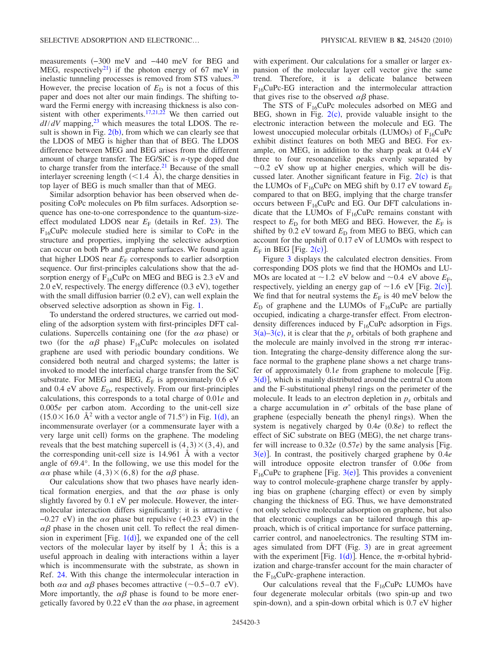measurements (-300 meV and -440 meV for BEG and MEG, respectively<sup>21</sup>) if the photon energy of 67 meV in inelastic tunneling processes is removed from STS values. $20$ However, the precise location of  $E<sub>D</sub>$  is not a focus of this paper and does not alter our main findings. The shifting toward the Fermi energy with increasing thickness is also con-sistent with other experiments.<sup>17[,21](#page-4-20)[,22](#page-4-21)</sup> We then carried out  $dI/dV$  mapping,<sup>23</sup> which measures the total LDOS. The result is shown in Fig.  $2(b)$  $2(b)$ , from which we can clearly see that the LDOS of MEG is higher than that of BEG. The LDOS difference between MEG and BEG arises from the different amount of charge transfer. The EG/SiC is *n*-type doped due to charge transfer from the interface.<sup>21</sup> Because of the small interlayer screening length  $(< 1.4$  Å), the charge densities in top layer of BEG is much smaller than that of MEG.

Similar adsorption behavior has been observed when depositing CoPc molecules on Pb film surfaces. Adsorption sequence has one-to-one correspondence to the quantum-sizeeffect modulated LDOS near  $E_F$  (details in Ref. [23](#page-4-22)). The  $F_{16}CuPc$  molecule studied here is similar to CoPc in the structure and properties, implying the selective adsorption can occur on both Pb and graphene surfaces. We found again that higher LDOS near  $E_F$  corresponds to earlier adsorption sequence. Our first-principles calculations show that the adsorption energy of  $F_{16}CuPc$  on MEG and BEG is 2.3 eV and 2.0 eV, respectively. The energy difference (0.3 eV), together with the small diffusion barrier  $(0.2 \text{ eV})$ , can well explain the observed selective adsorption as shown in Fig. [1.](#page-0-0)

To understand the ordered structures, we carried out modeling of the adsorption system with first-principles DFT calculations. Supercells containing one (for the  $\alpha\alpha$  phase) or two (for the  $\alpha\beta$  phase) F<sub>16</sub>CuPc molecules on isolated graphene are used with periodic boundary conditions. We considered both neutral and charged systems; the latter is invoked to model the interfacial charge transfer from the SiC substrate. For MEG and BEG,  $E_F$  is approximately 0.6 eV and 0.4 eV above  $E<sub>D</sub>$ , respectively. From our first-principles calculations, this corresponds to a total charge of 0.01*e* and 0.005*e* per carbon atom. According to the unit-cell size  $(15.0 \times 16.0 \text{ Å}^2 \text{ with a vector angle of } 71.5^{\circ}) \text{ in Fig. 1(d), an}$  $(15.0 \times 16.0 \text{ Å}^2 \text{ with a vector angle of } 71.5^{\circ}) \text{ in Fig. 1(d), an}$  $(15.0 \times 16.0 \text{ Å}^2 \text{ with a vector angle of } 71.5^{\circ}) \text{ in Fig. 1(d), an}$ incommensurate overlayer (or a commensurate layer with a very large unit cell) forms on the graphene. The modeling reveals that the best matching supercell is  $(4,3) \times (3,4)$ , and the corresponding unit-cell size is 14.961 Å with a vector angle of 69.4°. In the following, we use this model for the  $\alpha\alpha$  phase while  $(4,3) \times (6,8)$  for the  $\alpha\beta$  phase.

Our calculations show that two phases have nearly identical formation energies, and that the  $\alpha\alpha$  phase is only slightly favored by 0.1 eV per molecule. However, the intermolecular interaction differs significantly: it is attractive (  $-0.27$  eV) in the  $\alpha\alpha$  phase but repulsive (+0.23 eV) in the  $\alpha\beta$  phase in the chosen unit cell. To reflect the real dimension in experiment [Fig.  $1(d)$  $1(d)$ ], we expanded one of the cell vectors of the molecular layer by itself by 1 Å; this is a useful approach in dealing with interactions within a layer which is incommensurate with the substrate, as shown in Ref. [24.](#page-4-23) With this change the intermolecular interaction in both  $\alpha\alpha$  and  $\alpha\beta$  phases becomes attractive (~0.5–0.7 eV). More importantly, the  $\alpha\beta$  phase is found to be more energetically favored by 0.22 eV than the  $\alpha\alpha$  phase, in agreement with experiment. Our calculations for a smaller or larger expansion of the molecular layer cell vector give the same trend. Therefore, it is a delicate balance between  $F_{16}CuPc-EG$  interaction and the intermolecular attraction that gives rise to the observed  $\alpha\beta$  phase.

The STS of  $F_{16}CuPc$  molecules adsorbed on MEG and BEG, shown in Fig.  $2(c)$  $2(c)$ , provide valuable insight to the electronic interaction between the molecule and EG. The lowest unoccupied molecular orbitals (LUMOs) of  $F_{16}CuPc$ exhibit distinct features on both MEG and BEG. For example, on MEG, in addition to the sharp peak at 0.44 eV three to four resonancelike peaks evenly separated by  $\sim$ 0.2 eV show up at higher energies, which will be discussed later. Another significant feature in Fig.  $2(c)$  $2(c)$  is that the LUMOs of  $F_{16}$ CuPc on MEG shift by 0.17 eV toward  $E_F$ compared to that on BEG, implying that the charge transfer occurs between  $F_{16}CuPc$  and EG. Our DFT calculations indicate that the LUMOs of  $F_{16}CuPc$  remains constant with respect to  $E<sub>D</sub>$  for both MEG and BEG. However, the  $E<sub>F</sub>$  is shifted by  $0.2$  eV toward  $E<sub>D</sub>$  from MEG to BEG, which can account for the upshift of 0.17 eV of LUMOs with respect to  $E_F$  in BEG [Fig. [2](#page-1-0)(c)].

Figure [3](#page-3-0) displays the calculated electron densities. From corresponding DOS plots we find that the HOMOs and LU-MOs are located at  $\sim$ 1.2 eV below and  $\sim$ 0.4 eV above  $E_F$ , respectively, yielding an energy gap of  $\sim$  1.6 eV [Fig. [2](#page-1-0)(c)]. We find that for neutral systems the  $E_F$  is 40 meV below the  $E_D$  of graphene and the LUMOs of  $F_{16}CuPc$  are partially occupied, indicating a charge-transfer effect. From electrondensity differences induced by  $F_{16}CuPc$  adsorption in Figs.  $3(a)$  $3(a)$ [–3](#page-3-0)(c), it is clear that the  $p<sub>z</sub>$  orbitals of both graphene and the molecule are mainly involved in the strong  $\pi\pi$  interaction. Integrating the charge-density difference along the surface normal to the graphene plane shows a net charge transfer of approximately 0.1*e* from graphene to molecule [Fig.  $3(d)$  $3(d)$ , which is mainly distributed around the central Cu atom and the F-substitutional phenyl rings on the perimeter of the molecule. It leads to an electron depletion in  $p<sub>z</sub>$  orbitals and a charge accumulation in  $\sigma^*$  orbitals of the base plane of graphene (especially beneath the phenyl rings). When the system is negatively charged by  $0.4e(0.8e)$  to reflect the effect of SiC substrate on BEG (MEG), the net charge transfer will increase to  $0.32e(0.57e)$  by the same analysis [Fig. [3](#page-3-0)(e)]. In contrast, the positively charged graphene by 0.4*e* will introduce opposite electron transfer of 0.06*e* from  $F_{16}$ CuPc to graphene [Fig. [3](#page-3-0)(e)]. This provides a convenient way to control molecule-graphene charge transfer by applying bias on graphene (charging effect) or even by simply changing the thickness of EG. Thus, we have demonstrated not only selective molecular adsorption on graphene, but also that electronic couplings can be tailored through this approach, which is of critical importance for surface patterning, carrier control, and nanoelectronics. The resulting STM im-ages simulated from DFT (Fig. [3](#page-3-0)) are in great agreement with the experiment [Fig. [1](#page-0-0)(d)]. Hence, the  $\pi$ -orbital hybridization and charge-transfer account for the main character of the  $F_{16}CuPc$ -graphene interaction.

Our calculations reveal that the  $F_{16}CuPc$  LUMOs have four degenerate molecular orbitals (two spin-up and two spin-down), and a spin-down orbital which is 0.7 eV higher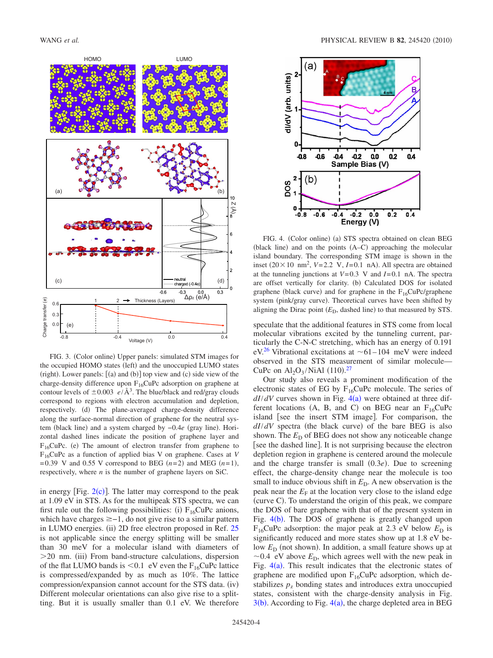<span id="page-3-0"></span>

FIG. 3. (Color online) Upper panels: simulated STM images for the occupied HOMO states (left) and the unoccupied LUMO states  $(right)$ . Lower panels:  $[(a)$  and  $(b)]$  top view and  $(c)$  side view of the charge-density difference upon  $F_{16}CuPc$  adsorption on graphene at contour levels of  $\pm 0.003$  *e*/Å<sup>3</sup>. The blue/black and red/gray clouds correspond to regions with electron accumulation and depletion, respectively. (d) The plane-averaged charge-density difference along the surface-normal direction of graphene for the neutral system (black line) and a system charged by -0.4*e* (gray line). Horizontal dashed lines indicate the position of graphene layer and  $F_{16}$ CuPc. (e) The amount of electron transfer from graphene to F16CuPc as a function of applied bias V on graphene. Cases at *V*  $=0.39$  V and 0.55 V correspond to BEG  $(n=2)$  and MEG  $(n=1)$ , respectively, where *n* is the number of graphene layers on SiC.

in energy [Fig.  $2(c)$  $2(c)$ ]. The latter may correspond to the peak at 1.09 eV in STS. As for the multipeak STS spectra, we can first rule out the following possibilities: (i)  $F_{16}CuPc$  anions, which have charges  $\geq -1$ , do not give rise to a similar pattern in LUMO energies. (ii) 2D free electron proposed in Ref. [25](#page-4-24) is not applicable since the energy splitting will be smaller than 30 meV for a molecular island with diameters of >20 nm. (iii) From band-structure calculations, dispersion of the flat LUMO bands is  $\leq 0.1$  eV even the F<sub>16</sub>CuPc lattice is compressed/expanded by as much as 10%. The lattice compression/expansion cannot account for the STS data. (iv) Different molecular orientations can also give rise to a splitting. But it is usually smaller than 0.1 eV. We therefore

<span id="page-3-1"></span>

FIG. 4. (Color online) (a) STS spectra obtained on clean BEG (black line) and on the points (A–C) approaching the molecular island boundary. The corresponding STM image is shown in the inset  $(20 \times 10 \text{ nm}^2, V=2.2 \text{ V}, I=0.1 \text{ nA})$ . All spectra are obtained at the tunneling junctions at *V*=0.3 V and *I*=0.1 nA. The spectra are offset vertically for clarity. (b) Calculated DOS for isolated graphene (black curve) and for graphene in the  $F_{16}CuPc/graphene$ system (pink/gray curve). Theoretical curves have been shifted by aligning the Dirac point  $(E_D,$  dashed line) to that measured by STS.

speculate that the additional features in STS come from local molecular vibrations excited by the tunneling current, particularly the C-N-C stretching, which has an energy of 0.191 eV.<sup>26</sup> Vibrational excitations at  $\sim 61-104$  meV were indeed observed in the STS measurement of similar molecule— CuPc on  $Al_2O_3/NiAl$  (110).<sup>[27](#page-4-26)</sup>

Our study also reveals a prominent modification of the electronic states of EG by  $F_{16}CuPc$  molecule. The series of  $dI/dV$  curves shown in Fig.  $4(a)$  $4(a)$  were obtained at three different locations (A, B, and C) on BEG near an  $F_{16}CuPc$ island [see the insert STM image]. For comparison, the  $dI/dV$  spectra (the black curve) of the bare BEG is also shown. The  $E<sub>D</sub>$  of BEG does not show any noticeable change [see the dashed line]. It is not surprising because the electron depletion region in graphene is centered around the molecule and the charge transfer is small  $(0.3e)$ . Due to screening effect, the charge-density change near the molecule is too small to induce obvious shift in  $E<sub>D</sub>$ . A new observation is the peak near the  $E_F$  at the location very close to the island edge (curve C). To understand the origin of this peak, we compare the DOS of bare graphene with that of the present system in Fig.  $4(b)$  $4(b)$ . The DOS of graphene is greatly changed upon  $F_{16}$ CuPc adsorption: the major peak at 2.3 eV below  $E_D$  is significantly reduced and more states show up at 1.8 eV below  $E<sub>D</sub>$  (not shown). In addition, a small feature shows up at  $\sim$ 0.4 eV above  $E<sub>D</sub>$ , which agrees well with the new peak in Fig.  $4(a)$  $4(a)$ . This result indicates that the electronic states of graphene are modified upon  $F_{16}CuPc$  adsorption, which destabilizes  $p<sub>z</sub>$  bonding states and introduces extra unoccupied states, consistent with the charge-density analysis in Fig.  $3(b)$  $3(b)$ . According to Fig.  $4(a)$  $4(a)$ , the charge depleted area in BEG